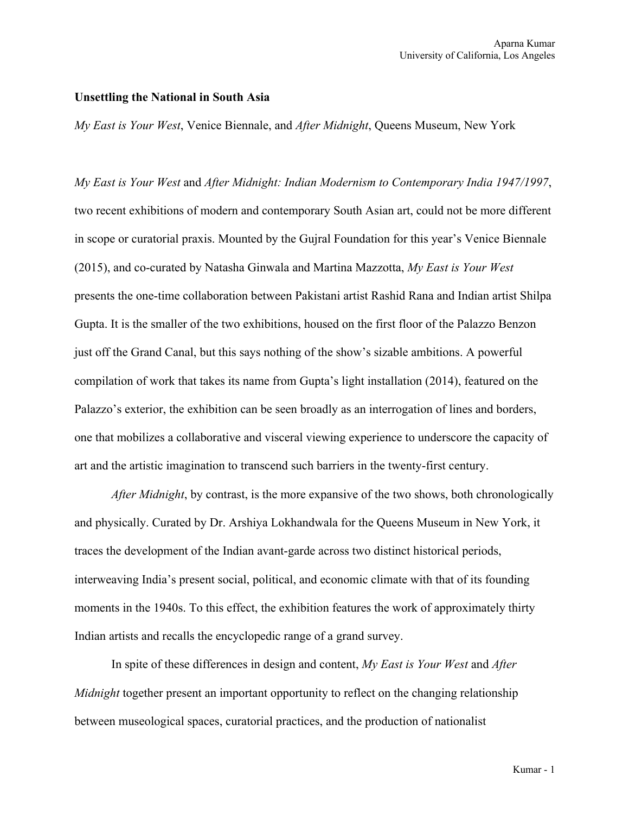#### **Unsettling the National in South Asia**

*My East is Your West*, Venice Biennale, and *After Midnight*, Queens Museum, New York

*My East is Your West* and *After Midnight: Indian Modernism to Contemporary India 1947/1997*, two recent exhibitions of modern and contemporary South Asian art, could not be more different in scope or curatorial praxis. Mounted by the Gujral Foundation for this year's Venice Biennale (2015), and co-curated by Natasha Ginwala and Martina Mazzotta, *My East is Your West* presents the one-time collaboration between Pakistani artist Rashid Rana and Indian artist Shilpa Gupta. It is the smaller of the two exhibitions, housed on the first floor of the Palazzo Benzon just off the Grand Canal, but this says nothing of the show's sizable ambitions. A powerful compilation of work that takes its name from Gupta's light installation (2014), featured on the Palazzo's exterior, the exhibition can be seen broadly as an interrogation of lines and borders, one that mobilizes a collaborative and visceral viewing experience to underscore the capacity of art and the artistic imagination to transcend such barriers in the twenty-first century.

*After Midnight*, by contrast, is the more expansive of the two shows, both chronologically and physically. Curated by Dr. Arshiya Lokhandwala for the Queens Museum in New York, it traces the development of the Indian avant-garde across two distinct historical periods, interweaving India's present social, political, and economic climate with that of its founding moments in the 1940s. To this effect, the exhibition features the work of approximately thirty Indian artists and recalls the encyclopedic range of a grand survey.

In spite of these differences in design and content, *My East is Your West* and *After Midnight* together present an important opportunity to reflect on the changing relationship between museological spaces, curatorial practices, and the production of nationalist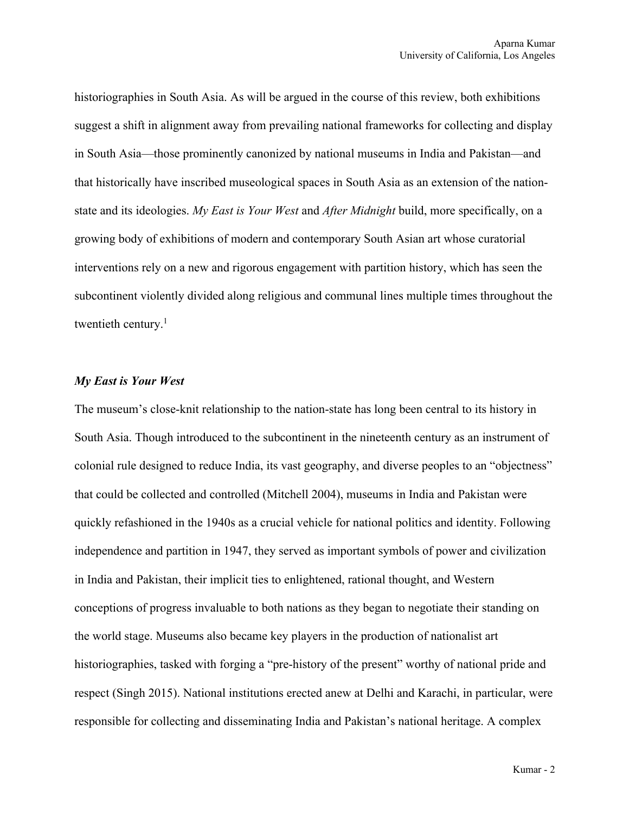historiographies in South Asia. As will be argued in the course of this review, both exhibitions suggest a shift in alignment away from prevailing national frameworks for collecting and display in South Asia—those prominently canonized by national museums in India and Pakistan—and that historically have inscribed museological spaces in South Asia as an extension of the nationstate and its ideologies. *My East is Your West* and *After Midnight* build, more specifically, on a growing body of exhibitions of modern and contemporary South Asian art whose curatorial interventions rely on a new and rigorous engagement with partition history, which has seen the subcontinent violently divided along religious and communal lines multiple times throughout the twentieth century.<sup>1</sup>

### *My East is Your West*

The museum's close-knit relationship to the nation-state has long been central to its history in South Asia. Though introduced to the subcontinent in the nineteenth century as an instrument of colonial rule designed to reduce India, its vast geography, and diverse peoples to an "objectness" that could be collected and controlled (Mitchell 2004), museums in India and Pakistan were quickly refashioned in the 1940s as a crucial vehicle for national politics and identity. Following independence and partition in 1947, they served as important symbols of power and civilization in India and Pakistan, their implicit ties to enlightened, rational thought, and Western conceptions of progress invaluable to both nations as they began to negotiate their standing on the world stage. Museums also became key players in the production of nationalist art historiographies, tasked with forging a "pre-history of the present" worthy of national pride and respect (Singh 2015). National institutions erected anew at Delhi and Karachi, in particular, were responsible for collecting and disseminating India and Pakistan's national heritage. A complex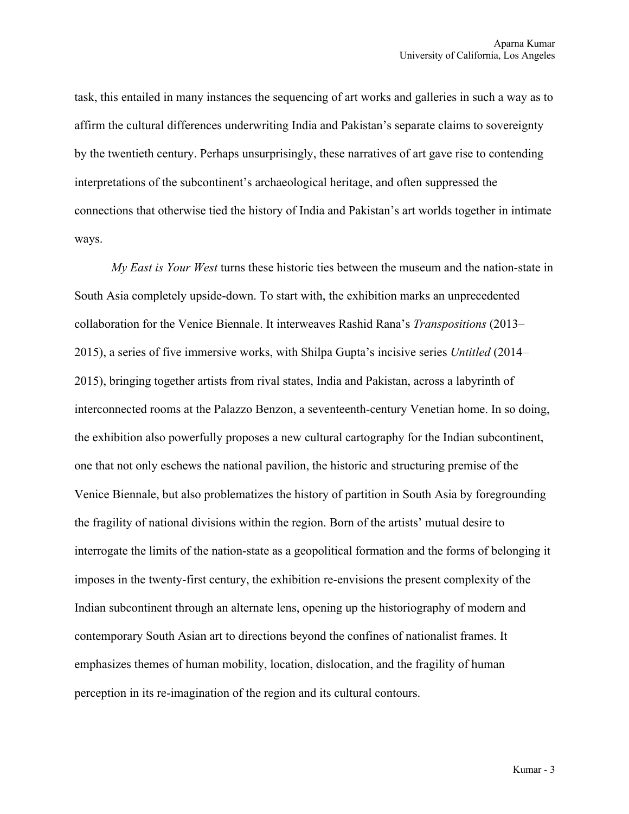task, this entailed in many instances the sequencing of art works and galleries in such a way as to affirm the cultural differences underwriting India and Pakistan's separate claims to sovereignty by the twentieth century. Perhaps unsurprisingly, these narratives of art gave rise to contending interpretations of the subcontinent's archaeological heritage, and often suppressed the connections that otherwise tied the history of India and Pakistan's art worlds together in intimate ways.

*My East is Your West* turns these historic ties between the museum and the nation-state in South Asia completely upside-down. To start with, the exhibition marks an unprecedented collaboration for the Venice Biennale. It interweaves Rashid Rana's *Transpositions* (2013– 2015), a series of five immersive works, with Shilpa Gupta's incisive series *Untitled* (2014– 2015), bringing together artists from rival states, India and Pakistan, across a labyrinth of interconnected rooms at the Palazzo Benzon, a seventeenth-century Venetian home. In so doing, the exhibition also powerfully proposes a new cultural cartography for the Indian subcontinent, one that not only eschews the national pavilion, the historic and structuring premise of the Venice Biennale, but also problematizes the history of partition in South Asia by foregrounding the fragility of national divisions within the region. Born of the artists' mutual desire to interrogate the limits of the nation-state as a geopolitical formation and the forms of belonging it imposes in the twenty-first century, the exhibition re-envisions the present complexity of the Indian subcontinent through an alternate lens, opening up the historiography of modern and contemporary South Asian art to directions beyond the confines of nationalist frames. It emphasizes themes of human mobility, location, dislocation, and the fragility of human perception in its re-imagination of the region and its cultural contours.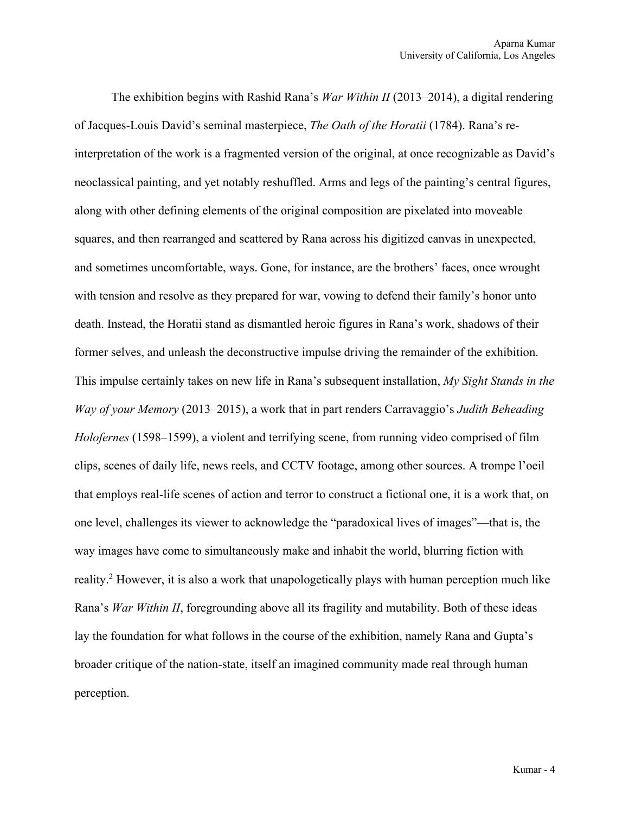The exhibition begins with Rashid Rana's *War Within II* (2013–2014), a digital rendering of Jacques-Louis David's seminal masterpiece, *The Oath of the Horatii* (1784). Rana's reinterpretation of the work is a fragmented version of the original, at once recognizable as David's neoclassical painting, and yet notably reshuffled. Arms and legs of the painting's central figures, along with other defining elements of the original composition are pixelated into moveable squares, and then rearranged and scattered by Rana across his digitized canvas in unexpected, and sometimes uncomfortable, ways. Gone, for instance, are the brothers' faces, once wrought with tension and resolve as they prepared for war, vowing to defend their family's honor unto death. Instead, the Horatii stand as dismantled heroic figures in Rana's work, shadows of their former selves, and unleash the deconstructive impulse driving the remainder of the exhibition. This impulse certainly takes on new life in Rana's subsequent installation, *My Sight Stands in the Way of your Memory* (2013–2015), a work that in part renders Carravaggio's *Judith Beheading Holofernes* (1598–1599), a violent and terrifying scene, from running video comprised of film clips, scenes of daily life, news reels, and CCTV footage, among other sources. A trompe l'oeil that employs real-life scenes of action and terror to construct a fictional one, it is a work that, on one level, challenges its viewer to acknowledge the "paradoxical lives of images"—that is, the way images have come to simultaneously make and inhabit the world, blurring fiction with reality.2 However, it is also a work that unapologetically plays with human perception much like Rana's *War Within II*, foregrounding above all its fragility and mutability. Both of these ideas lay the foundation for what follows in the course of the exhibition, namely Rana and Gupta's broader critique of the nation-state, itself an imagined community made real through human perception.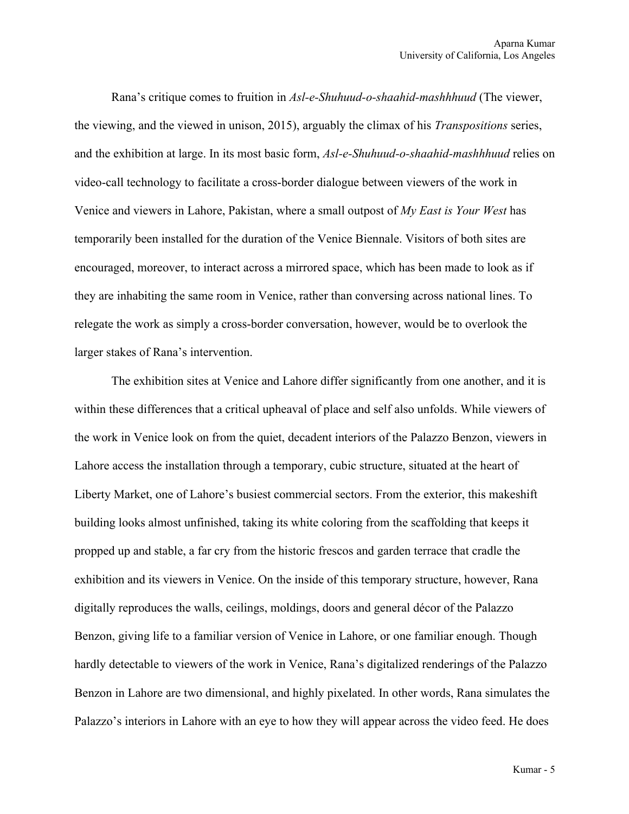Rana's critique comes to fruition in *Asl-e-Shuhuud-o-shaahid-mashhhuud* (The viewer, the viewing, and the viewed in unison, 2015), arguably the climax of his *Transpositions* series, and the exhibition at large. In its most basic form, *Asl-e-Shuhuud-o-shaahid-mashhhuud* relies on video-call technology to facilitate a cross-border dialogue between viewers of the work in Venice and viewers in Lahore, Pakistan, where a small outpost of *My East is Your West* has temporarily been installed for the duration of the Venice Biennale. Visitors of both sites are encouraged, moreover, to interact across a mirrored space, which has been made to look as if they are inhabiting the same room in Venice, rather than conversing across national lines. To relegate the work as simply a cross-border conversation, however, would be to overlook the larger stakes of Rana's intervention.

The exhibition sites at Venice and Lahore differ significantly from one another, and it is within these differences that a critical upheaval of place and self also unfolds. While viewers of the work in Venice look on from the quiet, decadent interiors of the Palazzo Benzon, viewers in Lahore access the installation through a temporary, cubic structure, situated at the heart of Liberty Market, one of Lahore's busiest commercial sectors. From the exterior, this makeshift building looks almost unfinished, taking its white coloring from the scaffolding that keeps it propped up and stable, a far cry from the historic frescos and garden terrace that cradle the exhibition and its viewers in Venice. On the inside of this temporary structure, however, Rana digitally reproduces the walls, ceilings, moldings, doors and general décor of the Palazzo Benzon, giving life to a familiar version of Venice in Lahore, or one familiar enough. Though hardly detectable to viewers of the work in Venice, Rana's digitalized renderings of the Palazzo Benzon in Lahore are two dimensional, and highly pixelated. In other words, Rana simulates the Palazzo's interiors in Lahore with an eye to how they will appear across the video feed. He does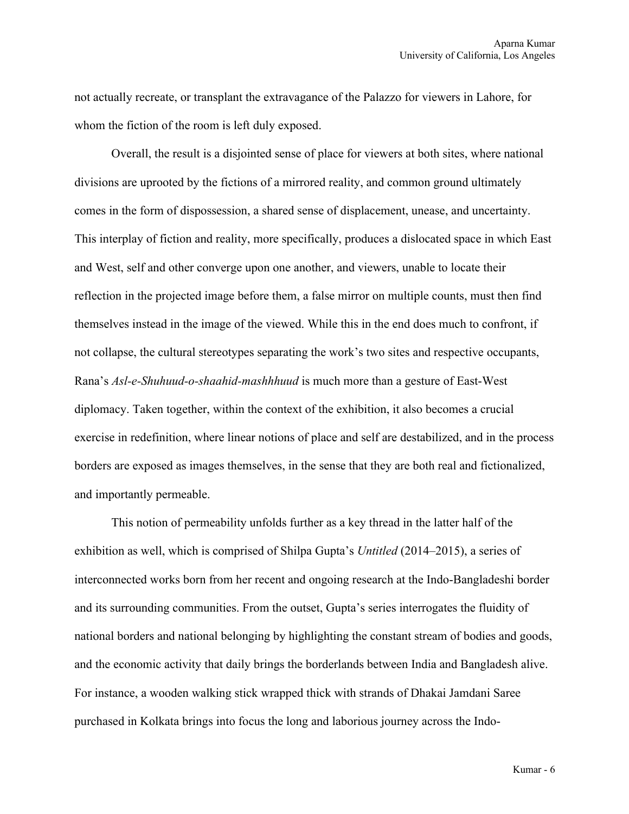not actually recreate, or transplant the extravagance of the Palazzo for viewers in Lahore, for whom the fiction of the room is left duly exposed.

Overall, the result is a disjointed sense of place for viewers at both sites, where national divisions are uprooted by the fictions of a mirrored reality, and common ground ultimately comes in the form of dispossession, a shared sense of displacement, unease, and uncertainty. This interplay of fiction and reality, more specifically, produces a dislocated space in which East and West, self and other converge upon one another, and viewers, unable to locate their reflection in the projected image before them, a false mirror on multiple counts, must then find themselves instead in the image of the viewed. While this in the end does much to confront, if not collapse, the cultural stereotypes separating the work's two sites and respective occupants, Rana's *Asl-e-Shuhuud-o-shaahid-mashhhuud* is much more than a gesture of East-West diplomacy. Taken together, within the context of the exhibition, it also becomes a crucial exercise in redefinition, where linear notions of place and self are destabilized, and in the process borders are exposed as images themselves, in the sense that they are both real and fictionalized, and importantly permeable.

This notion of permeability unfolds further as a key thread in the latter half of the exhibition as well, which is comprised of Shilpa Gupta's *Untitled* (2014–2015), a series of interconnected works born from her recent and ongoing research at the Indo-Bangladeshi border and its surrounding communities. From the outset, Gupta's series interrogates the fluidity of national borders and national belonging by highlighting the constant stream of bodies and goods, and the economic activity that daily brings the borderlands between India and Bangladesh alive. For instance, a wooden walking stick wrapped thick with strands of Dhakai Jamdani Saree purchased in Kolkata brings into focus the long and laborious journey across the Indo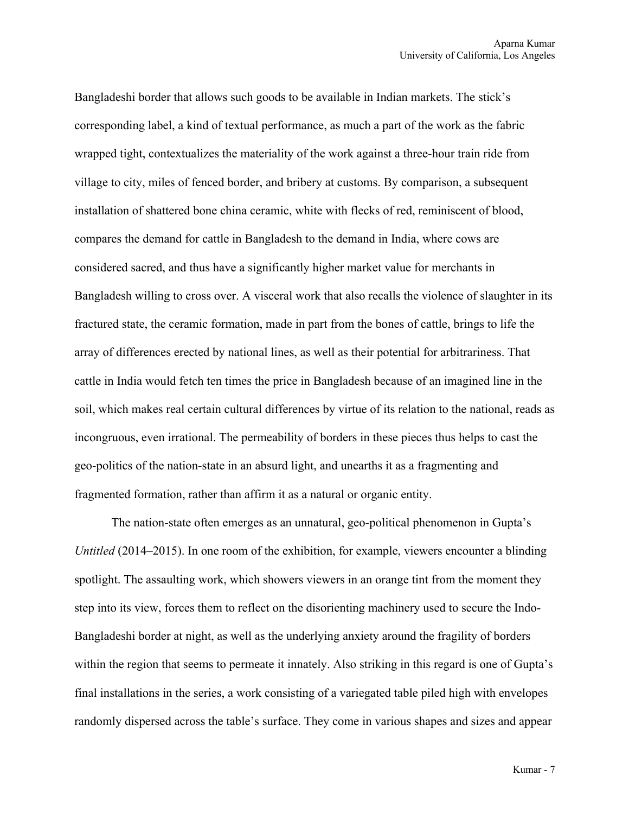Bangladeshi border that allows such goods to be available in Indian markets. The stick's corresponding label, a kind of textual performance, as much a part of the work as the fabric wrapped tight, contextualizes the materiality of the work against a three-hour train ride from village to city, miles of fenced border, and bribery at customs. By comparison, a subsequent installation of shattered bone china ceramic, white with flecks of red, reminiscent of blood, compares the demand for cattle in Bangladesh to the demand in India, where cows are considered sacred, and thus have a significantly higher market value for merchants in Bangladesh willing to cross over. A visceral work that also recalls the violence of slaughter in its fractured state, the ceramic formation, made in part from the bones of cattle, brings to life the array of differences erected by national lines, as well as their potential for arbitrariness. That cattle in India would fetch ten times the price in Bangladesh because of an imagined line in the soil, which makes real certain cultural differences by virtue of its relation to the national, reads as incongruous, even irrational. The permeability of borders in these pieces thus helps to cast the geo-politics of the nation-state in an absurd light, and unearths it as a fragmenting and fragmented formation, rather than affirm it as a natural or organic entity.

The nation-state often emerges as an unnatural, geo-political phenomenon in Gupta's *Untitled* (2014–2015). In one room of the exhibition, for example, viewers encounter a blinding spotlight. The assaulting work, which showers viewers in an orange tint from the moment they step into its view, forces them to reflect on the disorienting machinery used to secure the Indo-Bangladeshi border at night, as well as the underlying anxiety around the fragility of borders within the region that seems to permeate it innately. Also striking in this regard is one of Gupta's final installations in the series, a work consisting of a variegated table piled high with envelopes randomly dispersed across the table's surface. They come in various shapes and sizes and appear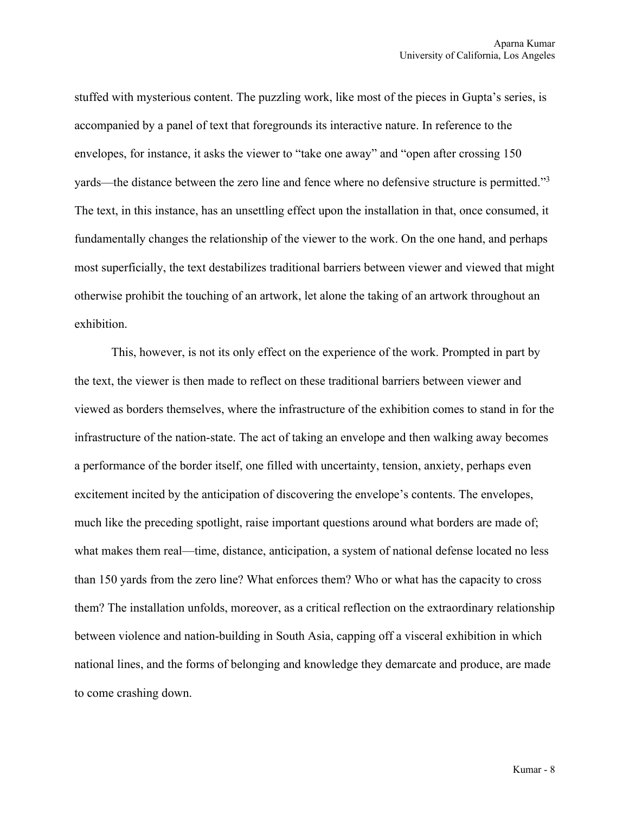stuffed with mysterious content. The puzzling work, like most of the pieces in Gupta's series, is accompanied by a panel of text that foregrounds its interactive nature. In reference to the envelopes, for instance, it asks the viewer to "take one away" and "open after crossing 150 yards—the distance between the zero line and fence where no defensive structure is permitted."3 The text, in this instance, has an unsettling effect upon the installation in that, once consumed, it fundamentally changes the relationship of the viewer to the work. On the one hand, and perhaps most superficially, the text destabilizes traditional barriers between viewer and viewed that might otherwise prohibit the touching of an artwork, let alone the taking of an artwork throughout an exhibition.

This, however, is not its only effect on the experience of the work. Prompted in part by the text, the viewer is then made to reflect on these traditional barriers between viewer and viewed as borders themselves, where the infrastructure of the exhibition comes to stand in for the infrastructure of the nation-state. The act of taking an envelope and then walking away becomes a performance of the border itself, one filled with uncertainty, tension, anxiety, perhaps even excitement incited by the anticipation of discovering the envelope's contents. The envelopes, much like the preceding spotlight, raise important questions around what borders are made of; what makes them real—time, distance, anticipation, a system of national defense located no less than 150 yards from the zero line? What enforces them? Who or what has the capacity to cross them? The installation unfolds, moreover, as a critical reflection on the extraordinary relationship between violence and nation-building in South Asia, capping off a visceral exhibition in which national lines, and the forms of belonging and knowledge they demarcate and produce, are made to come crashing down.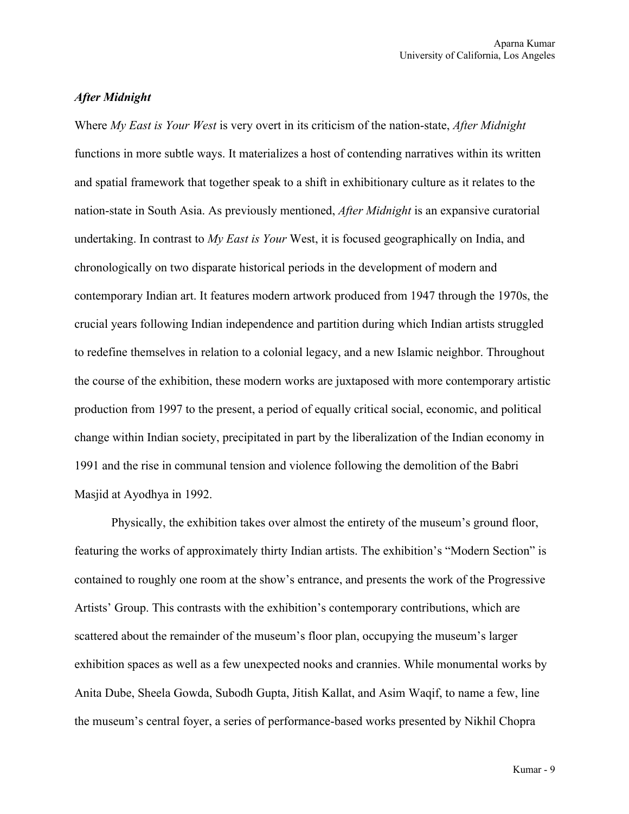### *After Midnight*

Where *My East is Your West* is very overt in its criticism of the nation-state, *After Midnight*  functions in more subtle ways. It materializes a host of contending narratives within its written and spatial framework that together speak to a shift in exhibitionary culture as it relates to the nation-state in South Asia. As previously mentioned, *After Midnight* is an expansive curatorial undertaking. In contrast to *My East is Your* West, it is focused geographically on India, and chronologically on two disparate historical periods in the development of modern and contemporary Indian art. It features modern artwork produced from 1947 through the 1970s, the crucial years following Indian independence and partition during which Indian artists struggled to redefine themselves in relation to a colonial legacy, and a new Islamic neighbor. Throughout the course of the exhibition, these modern works are juxtaposed with more contemporary artistic production from 1997 to the present, a period of equally critical social, economic, and political change within Indian society, precipitated in part by the liberalization of the Indian economy in 1991 and the rise in communal tension and violence following the demolition of the Babri Masjid at Ayodhya in 1992.

Physically, the exhibition takes over almost the entirety of the museum's ground floor, featuring the works of approximately thirty Indian artists. The exhibition's "Modern Section" is contained to roughly one room at the show's entrance, and presents the work of the Progressive Artists' Group. This contrasts with the exhibition's contemporary contributions, which are scattered about the remainder of the museum's floor plan, occupying the museum's larger exhibition spaces as well as a few unexpected nooks and crannies. While monumental works by Anita Dube, Sheela Gowda, Subodh Gupta, Jitish Kallat, and Asim Waqif, to name a few, line the museum's central foyer, a series of performance-based works presented by Nikhil Chopra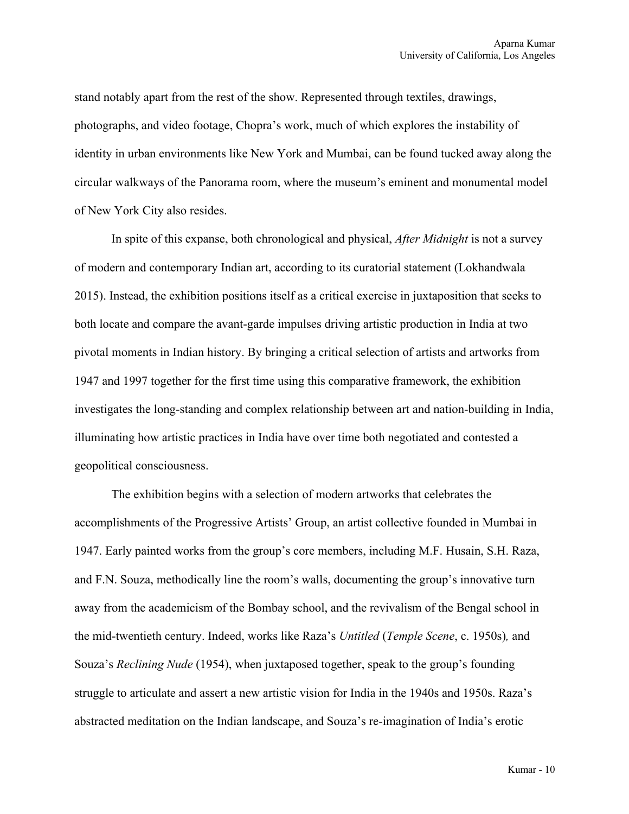stand notably apart from the rest of the show. Represented through textiles, drawings, photographs, and video footage, Chopra's work, much of which explores the instability of identity in urban environments like New York and Mumbai, can be found tucked away along the circular walkways of the Panorama room, where the museum's eminent and monumental model of New York City also resides.

In spite of this expanse, both chronological and physical, *After Midnight* is not a survey of modern and contemporary Indian art, according to its curatorial statement (Lokhandwala 2015). Instead, the exhibition positions itself as a critical exercise in juxtaposition that seeks to both locate and compare the avant-garde impulses driving artistic production in India at two pivotal moments in Indian history. By bringing a critical selection of artists and artworks from 1947 and 1997 together for the first time using this comparative framework, the exhibition investigates the long-standing and complex relationship between art and nation-building in India, illuminating how artistic practices in India have over time both negotiated and contested a geopolitical consciousness.

The exhibition begins with a selection of modern artworks that celebrates the accomplishments of the Progressive Artists' Group, an artist collective founded in Mumbai in 1947. Early painted works from the group's core members, including M.F. Husain, S.H. Raza, and F.N. Souza, methodically line the room's walls, documenting the group's innovative turn away from the academicism of the Bombay school, and the revivalism of the Bengal school in the mid-twentieth century. Indeed, works like Raza's *Untitled* (*Temple Scene*, c. 1950s)*,* and Souza's *Reclining Nude* (1954), when juxtaposed together, speak to the group's founding struggle to articulate and assert a new artistic vision for India in the 1940s and 1950s. Raza's abstracted meditation on the Indian landscape, and Souza's re-imagination of India's erotic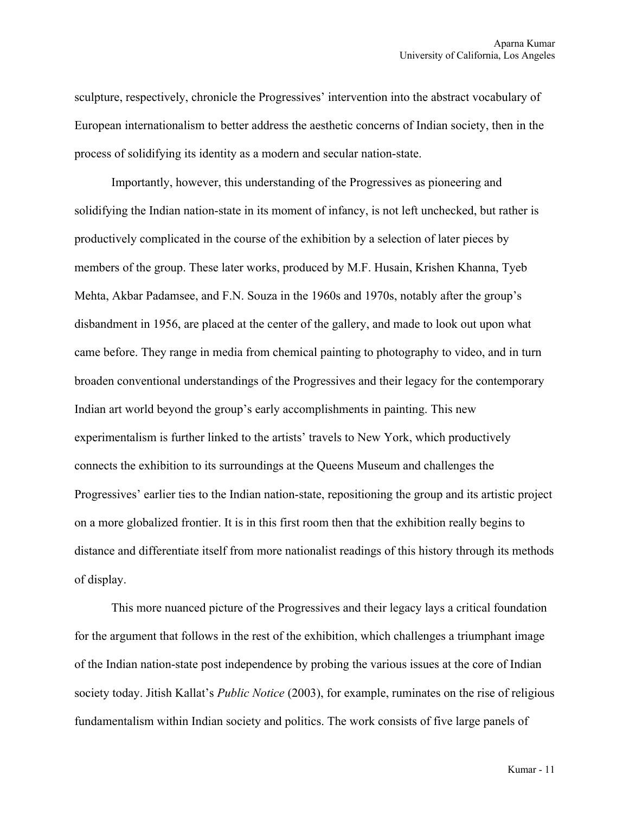sculpture, respectively, chronicle the Progressives' intervention into the abstract vocabulary of European internationalism to better address the aesthetic concerns of Indian society, then in the process of solidifying its identity as a modern and secular nation-state.

Importantly, however, this understanding of the Progressives as pioneering and solidifying the Indian nation-state in its moment of infancy, is not left unchecked, but rather is productively complicated in the course of the exhibition by a selection of later pieces by members of the group. These later works, produced by M.F. Husain, Krishen Khanna, Tyeb Mehta, Akbar Padamsee, and F.N. Souza in the 1960s and 1970s, notably after the group's disbandment in 1956, are placed at the center of the gallery, and made to look out upon what came before. They range in media from chemical painting to photography to video, and in turn broaden conventional understandings of the Progressives and their legacy for the contemporary Indian art world beyond the group's early accomplishments in painting. This new experimentalism is further linked to the artists' travels to New York, which productively connects the exhibition to its surroundings at the Queens Museum and challenges the Progressives' earlier ties to the Indian nation-state, repositioning the group and its artistic project on a more globalized frontier. It is in this first room then that the exhibition really begins to distance and differentiate itself from more nationalist readings of this history through its methods of display.

This more nuanced picture of the Progressives and their legacy lays a critical foundation for the argument that follows in the rest of the exhibition, which challenges a triumphant image of the Indian nation-state post independence by probing the various issues at the core of Indian society today. Jitish Kallat's *Public Notice* (2003), for example, ruminates on the rise of religious fundamentalism within Indian society and politics. The work consists of five large panels of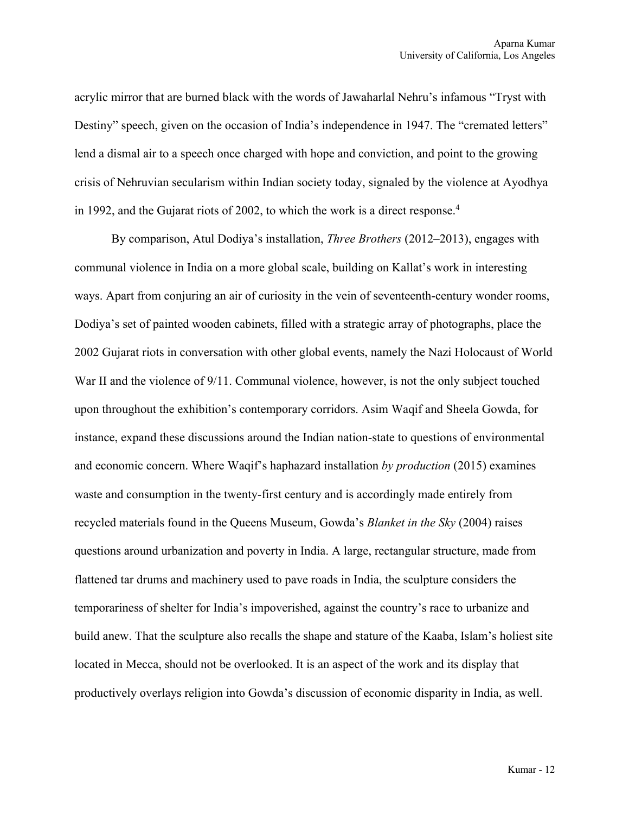acrylic mirror that are burned black with the words of Jawaharlal Nehru's infamous "Tryst with Destiny" speech, given on the occasion of India's independence in 1947. The "cremated letters" lend a dismal air to a speech once charged with hope and conviction, and point to the growing crisis of Nehruvian secularism within Indian society today, signaled by the violence at Ayodhya in 1992, and the Gujarat riots of 2002, to which the work is a direct response.<sup>4</sup>

By comparison, Atul Dodiya's installation, *Three Brothers* (2012–2013), engages with communal violence in India on a more global scale, building on Kallat's work in interesting ways. Apart from conjuring an air of curiosity in the vein of seventeenth-century wonder rooms, Dodiya's set of painted wooden cabinets, filled with a strategic array of photographs, place the 2002 Gujarat riots in conversation with other global events, namely the Nazi Holocaust of World War II and the violence of 9/11. Communal violence, however, is not the only subject touched upon throughout the exhibition's contemporary corridors. Asim Waqif and Sheela Gowda, for instance, expand these discussions around the Indian nation-state to questions of environmental and economic concern. Where Waqif's haphazard installation *by production* (2015) examines waste and consumption in the twenty-first century and is accordingly made entirely from recycled materials found in the Queens Museum, Gowda's *Blanket in the Sky* (2004) raises questions around urbanization and poverty in India. A large, rectangular structure, made from flattened tar drums and machinery used to pave roads in India, the sculpture considers the temporariness of shelter for India's impoverished, against the country's race to urbanize and build anew. That the sculpture also recalls the shape and stature of the Kaaba, Islam's holiest site located in Mecca, should not be overlooked. It is an aspect of the work and its display that productively overlays religion into Gowda's discussion of economic disparity in India, as well.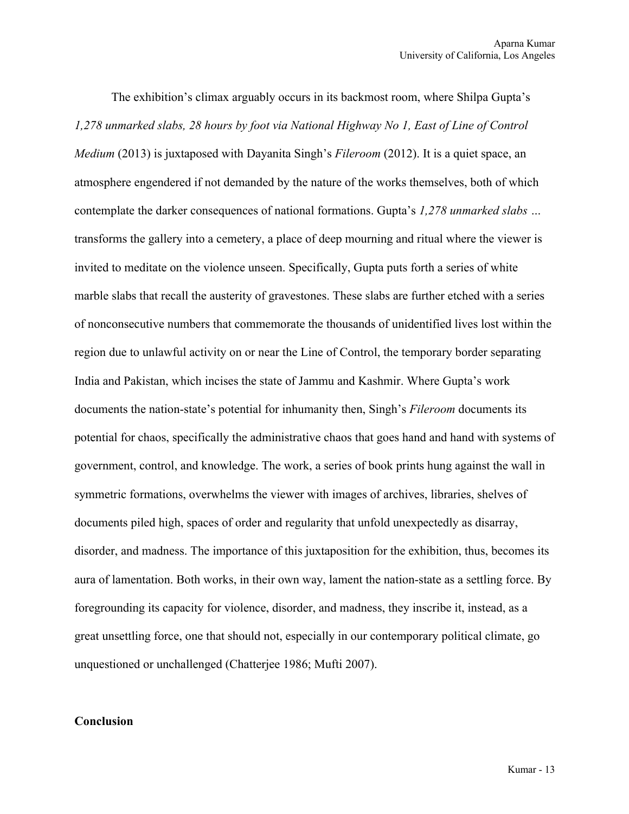The exhibition's climax arguably occurs in its backmost room, where Shilpa Gupta's *1,278 unmarked slabs, 28 hours by foot via National Highway No 1, East of Line of Control Medium* (2013) is juxtaposed with Dayanita Singh's *Fileroom* (2012). It is a quiet space, an atmosphere engendered if not demanded by the nature of the works themselves, both of which contemplate the darker consequences of national formations. Gupta's *1,278 unmarked slabs …*  transforms the gallery into a cemetery, a place of deep mourning and ritual where the viewer is invited to meditate on the violence unseen. Specifically, Gupta puts forth a series of white marble slabs that recall the austerity of gravestones. These slabs are further etched with a series of nonconsecutive numbers that commemorate the thousands of unidentified lives lost within the region due to unlawful activity on or near the Line of Control, the temporary border separating India and Pakistan, which incises the state of Jammu and Kashmir. Where Gupta's work documents the nation-state's potential for inhumanity then, Singh's *Fileroom* documents its potential for chaos, specifically the administrative chaos that goes hand and hand with systems of government, control, and knowledge. The work, a series of book prints hung against the wall in symmetric formations, overwhelms the viewer with images of archives, libraries, shelves of documents piled high, spaces of order and regularity that unfold unexpectedly as disarray, disorder, and madness. The importance of this juxtaposition for the exhibition, thus, becomes its aura of lamentation. Both works, in their own way, lament the nation-state as a settling force. By foregrounding its capacity for violence, disorder, and madness, they inscribe it, instead, as a great unsettling force, one that should not, especially in our contemporary political climate, go unquestioned or unchallenged (Chatterjee 1986; Mufti 2007).

# **Conclusion**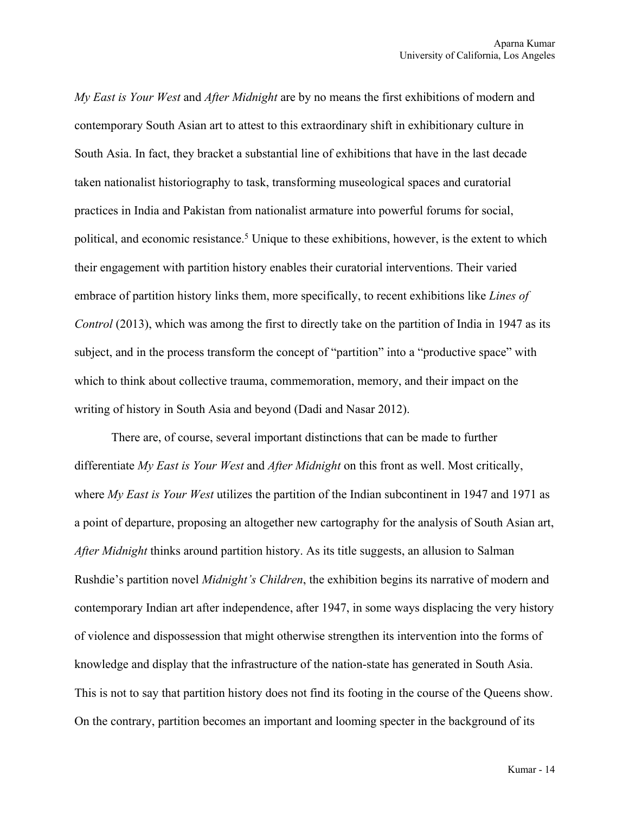*My East is Your West* and *After Midnight* are by no means the first exhibitions of modern and contemporary South Asian art to attest to this extraordinary shift in exhibitionary culture in South Asia. In fact, they bracket a substantial line of exhibitions that have in the last decade taken nationalist historiography to task, transforming museological spaces and curatorial practices in India and Pakistan from nationalist armature into powerful forums for social, political, and economic resistance.<sup>5</sup> Unique to these exhibitions, however, is the extent to which their engagement with partition history enables their curatorial interventions. Their varied embrace of partition history links them, more specifically, to recent exhibitions like *Lines of Control* (2013), which was among the first to directly take on the partition of India in 1947 as its subject, and in the process transform the concept of "partition" into a "productive space" with which to think about collective trauma, commemoration, memory, and their impact on the writing of history in South Asia and beyond (Dadi and Nasar 2012).

There are, of course, several important distinctions that can be made to further differentiate *My East is Your West* and *After Midnight* on this front as well. Most critically, where *My East is Your West* utilizes the partition of the Indian subcontinent in 1947 and 1971 as a point of departure, proposing an altogether new cartography for the analysis of South Asian art, *After Midnight* thinks around partition history. As its title suggests, an allusion to Salman Rushdie's partition novel *Midnight's Children*, the exhibition begins its narrative of modern and contemporary Indian art after independence, after 1947, in some ways displacing the very history of violence and dispossession that might otherwise strengthen its intervention into the forms of knowledge and display that the infrastructure of the nation-state has generated in South Asia. This is not to say that partition history does not find its footing in the course of the Queens show. On the contrary, partition becomes an important and looming specter in the background of its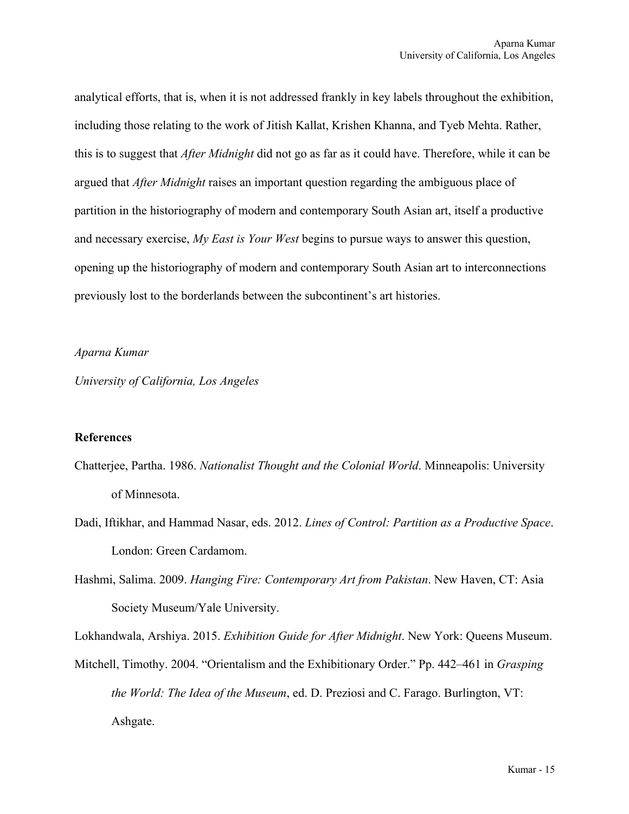analytical efforts, that is, when it is not addressed frankly in key labels throughout the exhibition, including those relating to the work of Jitish Kallat, Krishen Khanna, and Tyeb Mehta. Rather, this is to suggest that *After Midnight* did not go as far as it could have. Therefore, while it can be argued that *After Midnight* raises an important question regarding the ambiguous place of partition in the historiography of modern and contemporary South Asian art, itself a productive and necessary exercise, *My East is Your West* begins to pursue ways to answer this question, opening up the historiography of modern and contemporary South Asian art to interconnections previously lost to the borderlands between the subcontinent's art histories.

### *Aparna Kumar*

*University of California, Los Angeles*

### **References**

- Chatterjee, Partha. 1986. *Nationalist Thought and the Colonial World*. Minneapolis: University of Minnesota.
- Dadi, Iftikhar, and Hammad Nasar, eds. 2012. *Lines of Control: Partition as a Productive Space*. London: Green Cardamom.
- Hashmi, Salima. 2009. *Hanging Fire: Contemporary Art from Pakistan*. New Haven, CT: Asia Society Museum/Yale University.

Lokhandwala, Arshiya. 2015. *Exhibition Guide for After Midnight*. New York: Queens Museum.

Mitchell, Timothy. 2004. "Orientalism and the Exhibitionary Order." Pp. 442–461 in *Grasping the World: The Idea of the Museum*, ed. D. Preziosi and C. Farago. Burlington, VT: Ashgate.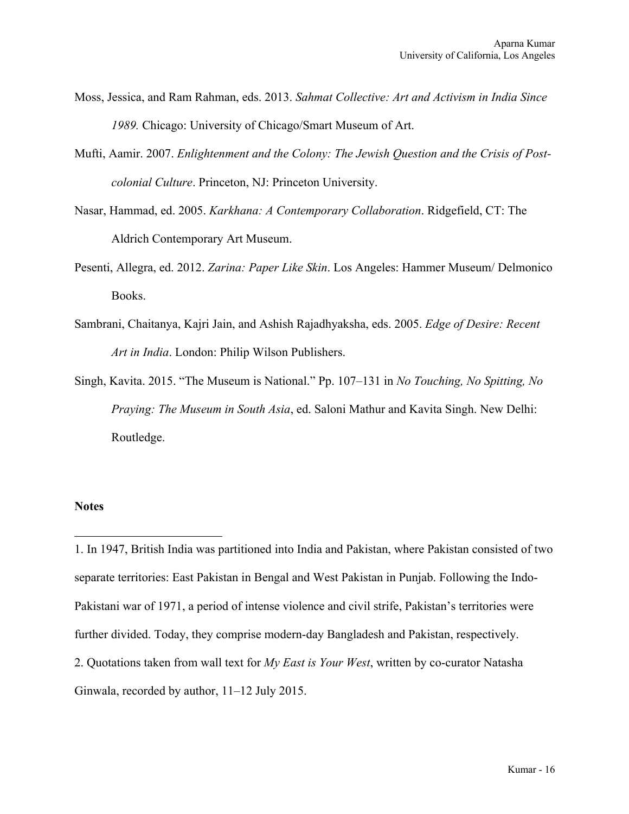- Moss, Jessica, and Ram Rahman, eds. 2013. *Sahmat Collective: Art and Activism in India Since 1989.* Chicago: University of Chicago/Smart Museum of Art.
- Mufti, Aamir. 2007. *Enlightenment and the Colony: The Jewish Question and the Crisis of Postcolonial Culture*. Princeton, NJ: Princeton University.
- Nasar, Hammad, ed. 2005. *Karkhana: A Contemporary Collaboration*. Ridgefield, CT: The Aldrich Contemporary Art Museum.
- Pesenti, Allegra, ed. 2012. *Zarina: Paper Like Skin*. Los Angeles: Hammer Museum/ Delmonico Books.
- Sambrani, Chaitanya, Kajri Jain, and Ashish Rajadhyaksha, eds. 2005. *Edge of Desire: Recent Art in India*. London: Philip Wilson Publishers.
- Singh, Kavita. 2015. "The Museum is National." Pp. 107–131 in *No Touching, No Spitting, No Praying: The Museum in South Asia*, ed. Saloni Mathur and Kavita Singh. New Delhi: Routledge.

# **Notes**

1. In 1947, British India was partitioned into India and Pakistan, where Pakistan consisted of two separate territories: East Pakistan in Bengal and West Pakistan in Punjab. Following the Indo-Pakistani war of 1971, a period of intense violence and civil strife, Pakistan's territories were further divided. Today, they comprise modern-day Bangladesh and Pakistan, respectively. 2. Quotations taken from wall text for *My East is Your West*, written by co-curator Natasha Ginwala, recorded by author, 11–12 July 2015.